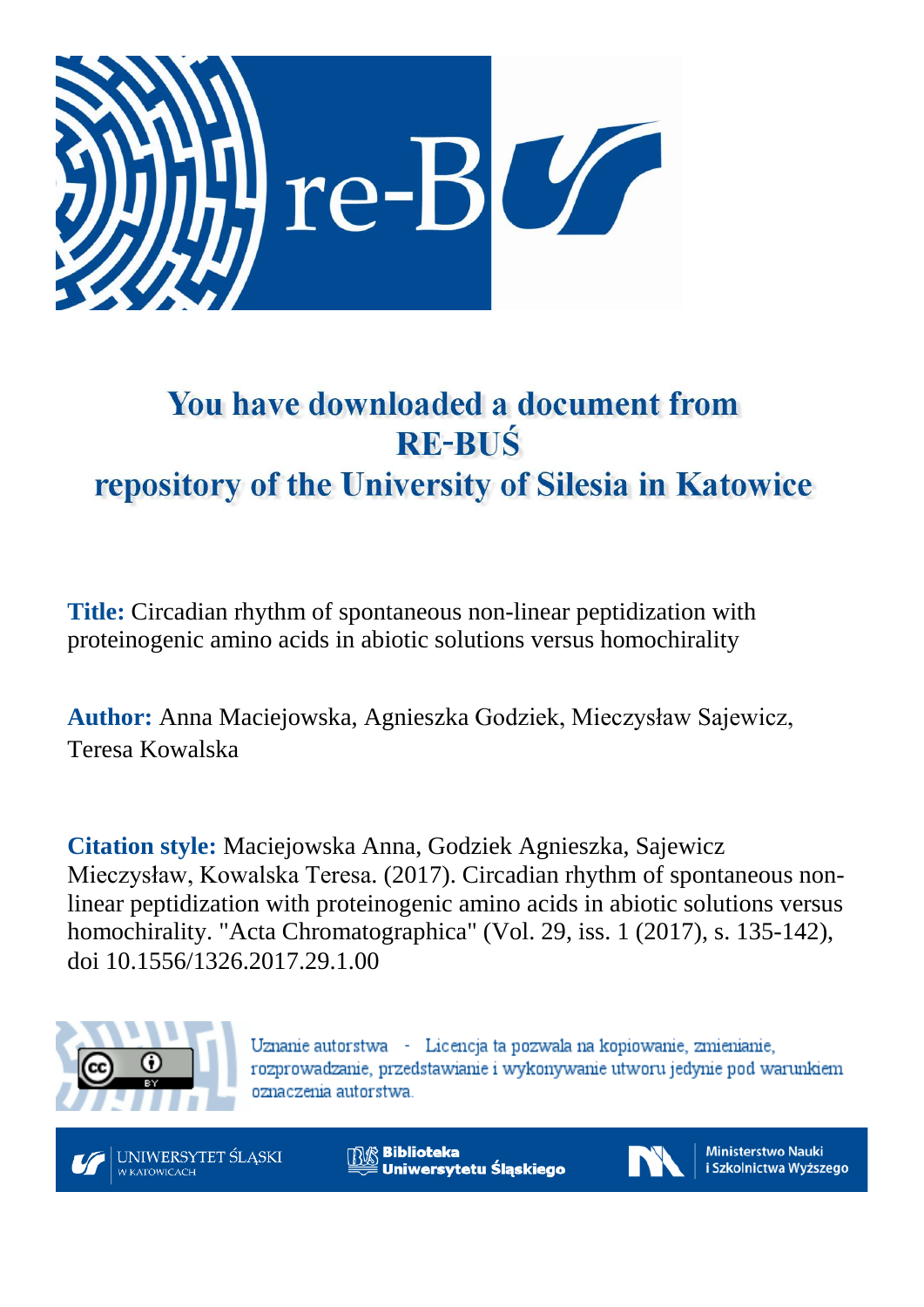

# You have downloaded a document from **RE-BUŚ** repository of the University of Silesia in Katowice

**Title:** Circadian rhythm of spontaneous non-linear peptidization with proteinogenic amino acids in abiotic solutions versus homochirality

**Author:** Anna Maciejowska, Agnieszka Godziek, Mieczysław Sajewicz, Teresa Kowalska

**Citation style:** Maciejowska Anna, Godziek Agnieszka, Sajewicz Mieczysław, Kowalska Teresa. (2017). Circadian rhythm of spontaneous nonlinear peptidization with proteinogenic amino acids in abiotic solutions versus homochirality. "Acta Chromatographica" (Vol. 29, iss. 1 (2017), s. 135-142), doi 10.1556/1326.2017.29.1.00



Uznanie autorstwa - Licencja ta pozwala na kopiowanie, zmienianie, rozprowadzanie, przedstawianie i wykonywanie utworu jedynie pod warunkiem oznaczenia autorstwa.



**Biblioteka** Uniwersytetu Śląskiego



**Ministerstwo Nauki** i Szkolnictwa Wyższego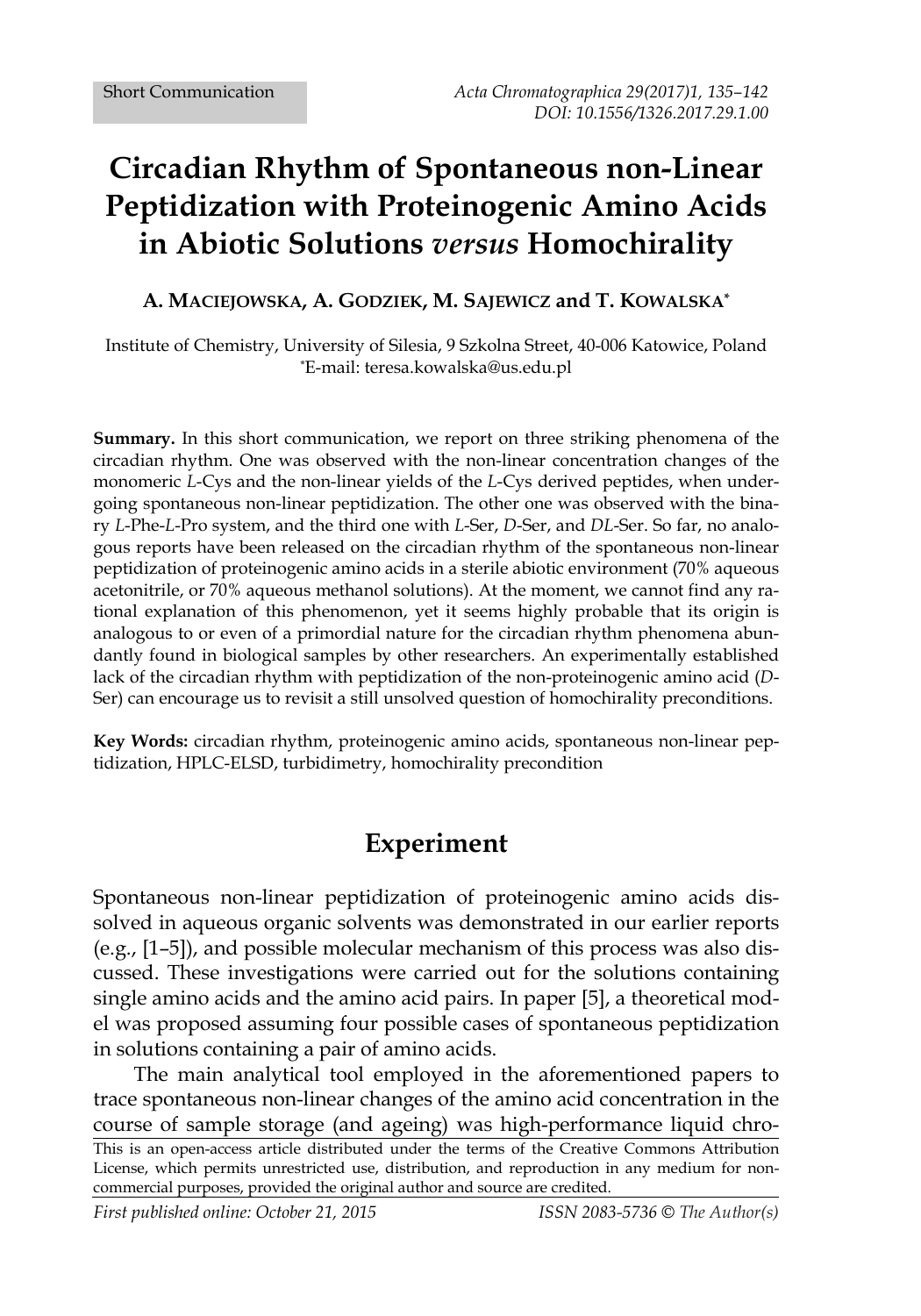## **Circadian Rhythm of Spontaneous non-Linear Peptidization with Proteinogenic Amino Acids in Abiotic Solutions** *versus* **Homochirality**

#### **A. MACIEJOWSKA, A. GODZIEK, M. SAJEWICZ and T. KOWALSKA\***

Institute of Chemistry, University of Silesia, 9 Szkolna Street, 40-006 Katowice, Poland \*E-mail: teresa.kowalska@us.edu.pl

**Summary.** In this short communication, we report on three striking phenomena of the circadian rhythm. One was observed with the non-linear concentration changes of the monomeric *L*-Cys and the non-linear yields of the *L*-Cys derived peptides, when undergoing spontaneous non-linear peptidization. The other one was observed with the binary *L*-Phe-*L*-Pro system, and the third one with *L*-Ser, *D*-Ser, and *DL*-Ser. So far, no analogous reports have been released on the circadian rhythm of the spontaneous non-linear peptidization of proteinogenic amino acids in a sterile abiotic environment (70% aqueous acetonitrile, or 70% aqueous methanol solutions). At the moment, we cannot find any rational explanation of this phenomenon, yet it seems highly probable that its origin is analogous to or even of a primordial nature for the circadian rhythm phenomena abundantly found in biological samples by other researchers. An experimentally established lack of the circadian rhythm with peptidization of the non-proteinogenic amino acid (*D*-Ser) can encourage us to revisit a still unsolved question of homochirality preconditions.

**Key Words:** circadian rhythm, proteinogenic amino acids, spontaneous non-linear peptidization, HPLC-ELSD, turbidimetry, homochirality precondition

### **Experiment**

Spontaneous non-linear peptidization of proteinogenic amino acids dissolved in aqueous organic solvents was demonstrated in our earlier reports (e.g., [1–5]), and possible molecular mechanism of this process was also discussed. These investigations were carried out for the solutions containing single amino acids and the amino acid pairs. In paper [5], a theoretical model was proposed assuming four possible cases of spontaneous peptidization in solutions containing a pair of amino acids.

This is an open-access article distributed under the terms of the Creative Commons Attribution License, which permits unrestricted use, distribution, and reproduction in any medium for noncommercial purposes, provided the original author and source are credited. The main analytical tool employed in the aforementioned papers to trace spontaneous non-linear changes of the amino acid concentration in the course of sample storage (and ageing) was high-performance liquid chro-

*First published online: October 21, 2015 ISSN 2083-5736 © The Author(s)*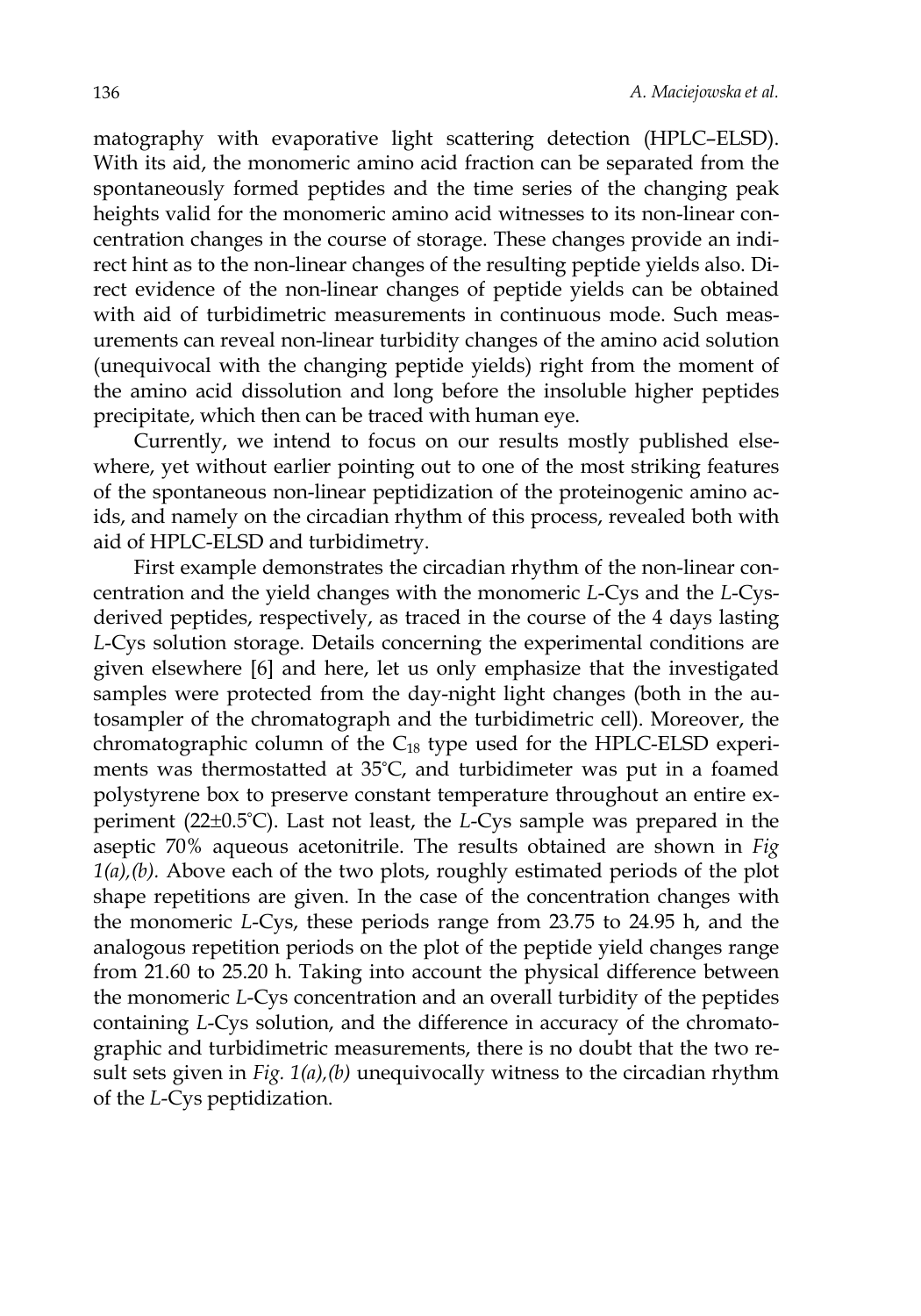matography with evaporative light scattering detection (HPLC–ELSD). With its aid, the monomeric amino acid fraction can be separated from the spontaneously formed peptides and the time series of the changing peak heights valid for the monomeric amino acid witnesses to its non-linear concentration changes in the course of storage. These changes provide an indirect hint as to the non-linear changes of the resulting peptide yields also. Direct evidence of the non-linear changes of peptide yields can be obtained with aid of turbidimetric measurements in continuous mode. Such measurements can reveal non-linear turbidity changes of the amino acid solution (unequivocal with the changing peptide yields) right from the moment of the amino acid dissolution and long before the insoluble higher peptides precipitate, which then can be traced with human eye.

Currently, we intend to focus on our results mostly published elsewhere, yet without earlier pointing out to one of the most striking features of the spontaneous non-linear peptidization of the proteinogenic amino acids, and namely on the circadian rhythm of this process, revealed both with aid of HPLC-ELSD and turbidimetry.

First example demonstrates the circadian rhythm of the non-linear concentration and the yield changes with the monomeric *L*-Cys and the *L*-Cysderived peptides, respectively, as traced in the course of the 4 days lasting *L*-Cys solution storage. Details concerning the experimental conditions are given elsewhere [6] and here, let us only emphasize that the investigated samples were protected from the day-night light changes (both in the autosampler of the chromatograph and the turbidimetric cell). Moreover, the chromatographic column of the C18 type used for the HPLC-ELSD experiments was thermostatted at 35°C, and turbidimeter was put in a foamed polystyrene box to preserve constant temperature throughout an entire experiment (22±0.5°C). Last not least, the *L*-Cys sample was prepared in the aseptic 70% aqueous acetonitrile. The results obtained are shown in *Fig 1(a),(b).* Above each of the two plots, roughly estimated periods of the plot shape repetitions are given. In the case of the concentration changes with the monomeric *L*-Cys, these periods range from 23.75 to 24.95 h, and the analogous repetition periods on the plot of the peptide yield changes range from 21.60 to 25.20 h. Taking into account the physical difference between the monomeric *L*-Cys concentration and an overall turbidity of the peptides containing *L*-Cys solution, and the difference in accuracy of the chromatographic and turbidimetric measurements, there is no doubt that the two result sets given in *Fig. 1(a),(b)* unequivocally witness to the circadian rhythm of the *L*-Cys peptidization.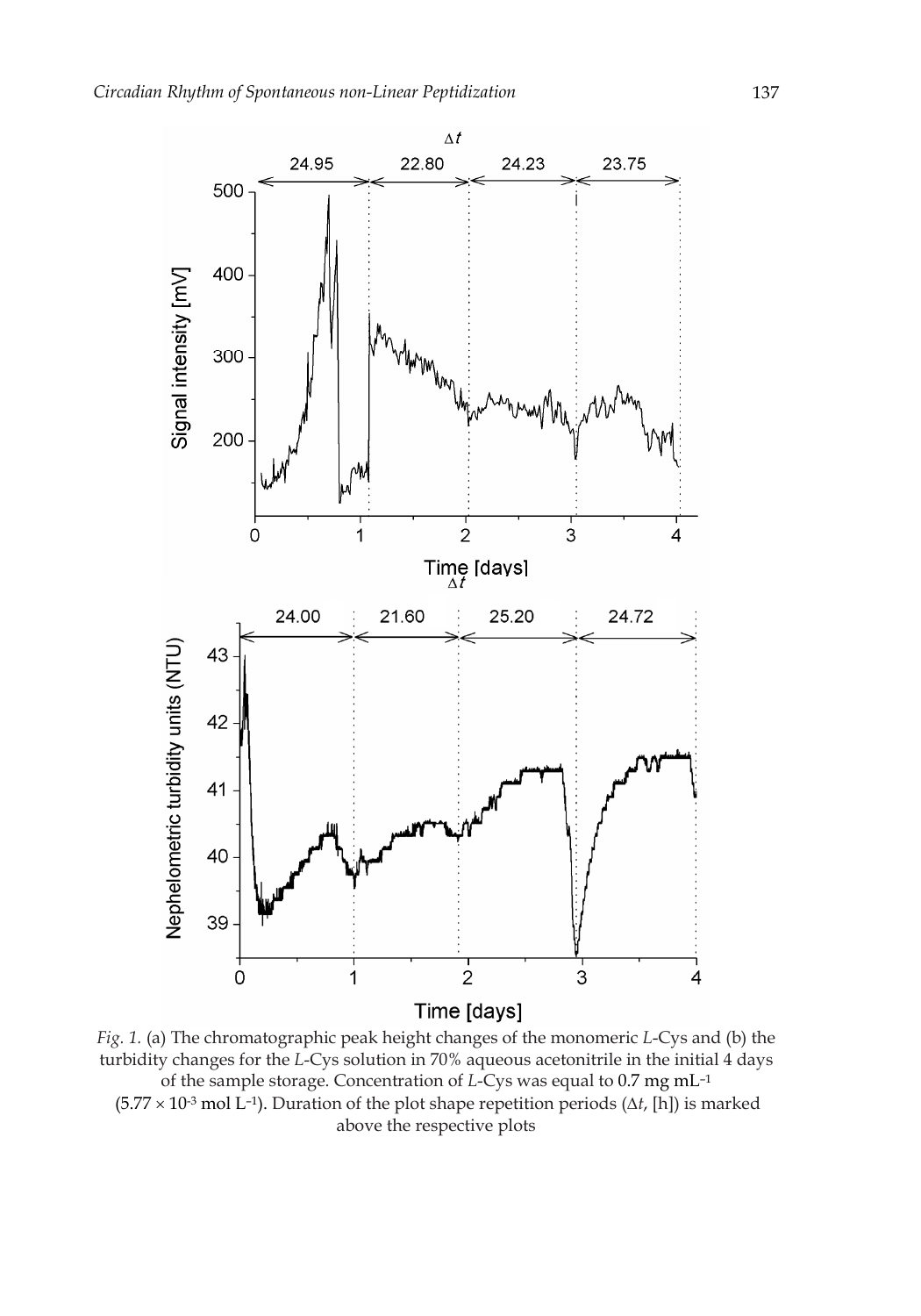

*Fig. 1.* (a) The chromatographic peak height changes of the monomeric *L*-Cys and (b) the turbidity changes for the *L*-Cys solution in 70% aqueous acetonitrile in the initial 4 days of the sample storage. Concentration of *L*-Cys was equal to 0.7 mg mL–1 (5.77 × 10-3 mol L–1). Duration of the plot shape repetition periods (∆*t*, [h]) is marked above the respective plots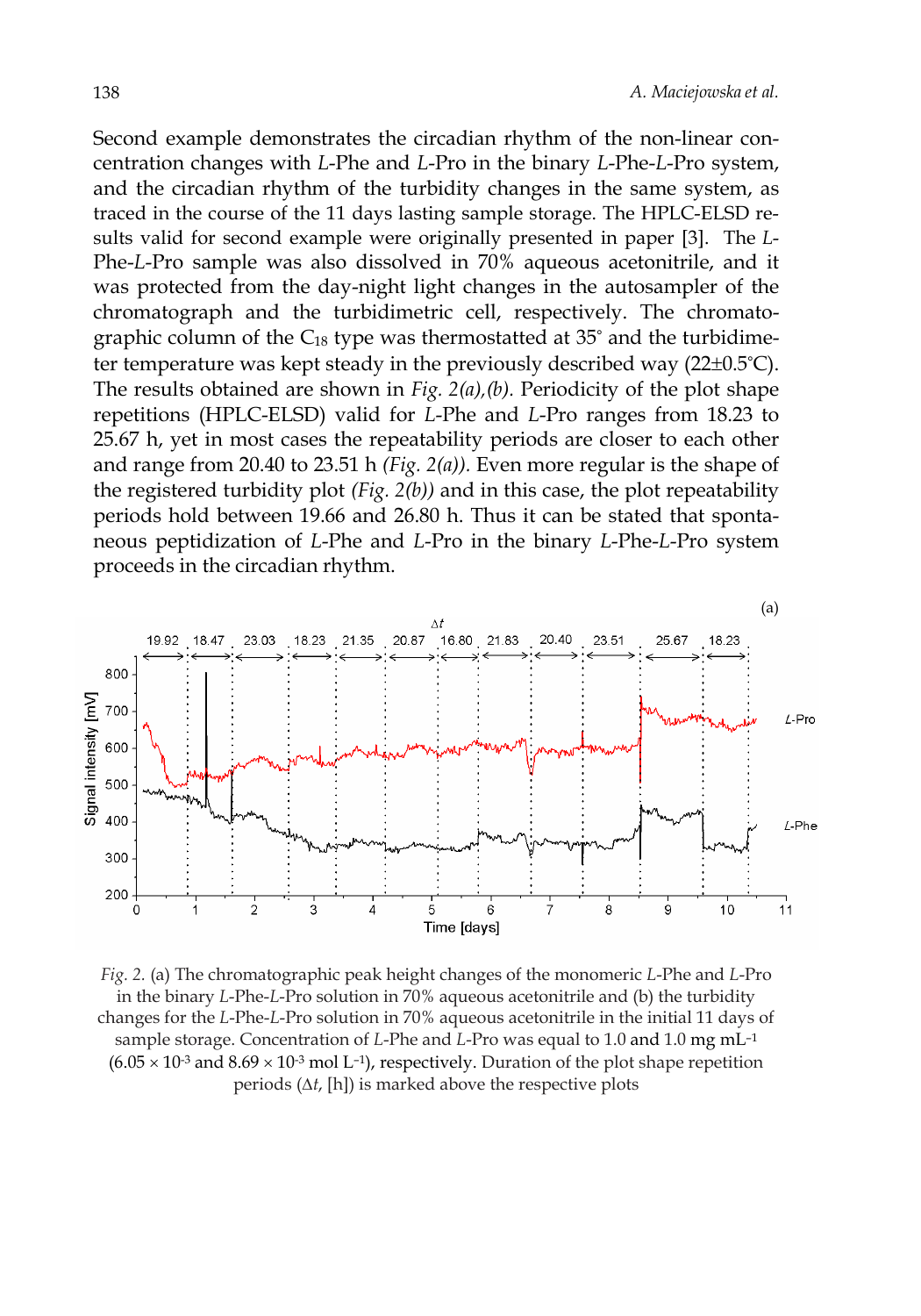Second example demonstrates the circadian rhythm of the non-linear concentration changes with *L*-Phe and *L*-Pro in the binary *L*-Phe-*L*-Pro system, and the circadian rhythm of the turbidity changes in the same system, as traced in the course of the 11 days lasting sample storage. The HPLC-ELSD results valid for second example were originally presented in paper [3]. The *L*-Phe-*L*-Pro sample was also dissolved in 70% aqueous acetonitrile, and it was protected from the day-night light changes in the autosampler of the chromatograph and the turbidimetric cell, respectively. The chromatographic column of the  $C_{18}$  type was thermostatted at 35° and the turbidimeter temperature was kept steady in the previously described way (22±0.5°C). The results obtained are shown in *Fig. 2(a),(b).* Periodicity of the plot shape repetitions (HPLC-ELSD) valid for *L*-Phe and *L*-Pro ranges from 18.23 to 25.67 h, yet in most cases the repeatability periods are closer to each other and range from 20.40 to 23.51 h *(Fig. 2(a)).* Even more regular is the shape of the registered turbidity plot *(Fig. 2(b))* and in this case, the plot repeatability periods hold between 19.66 and 26.80 h. Thus it can be stated that spontaneous peptidization of *L*-Phe and *L*-Pro in the binary *L*-Phe-*L*-Pro system proceeds in the circadian rhythm.



*Fig. 2.* (a) The chromatographic peak height changes of the monomeric *L*-Phe and *L*-Pro in the binary *L*-Phe-*L*-Pro solution in 70% aqueous acetonitrile and (b) the turbidity changes for the *L*-Phe-*L*-Pro solution in 70% aqueous acetonitrile in the initial 11 days of sample storage. Concentration of *L*-Phe and *L*-Pro was equal to 1.0 and 1.0 mg mL–1  $(6.05 \times 10^{-3} \text{ and } 8.69 \times 10^{-3} \text{ mol L}^{-1})$ , respectively. Duration of the plot shape repetition periods (∆*t*, [h]) is marked above the respective plots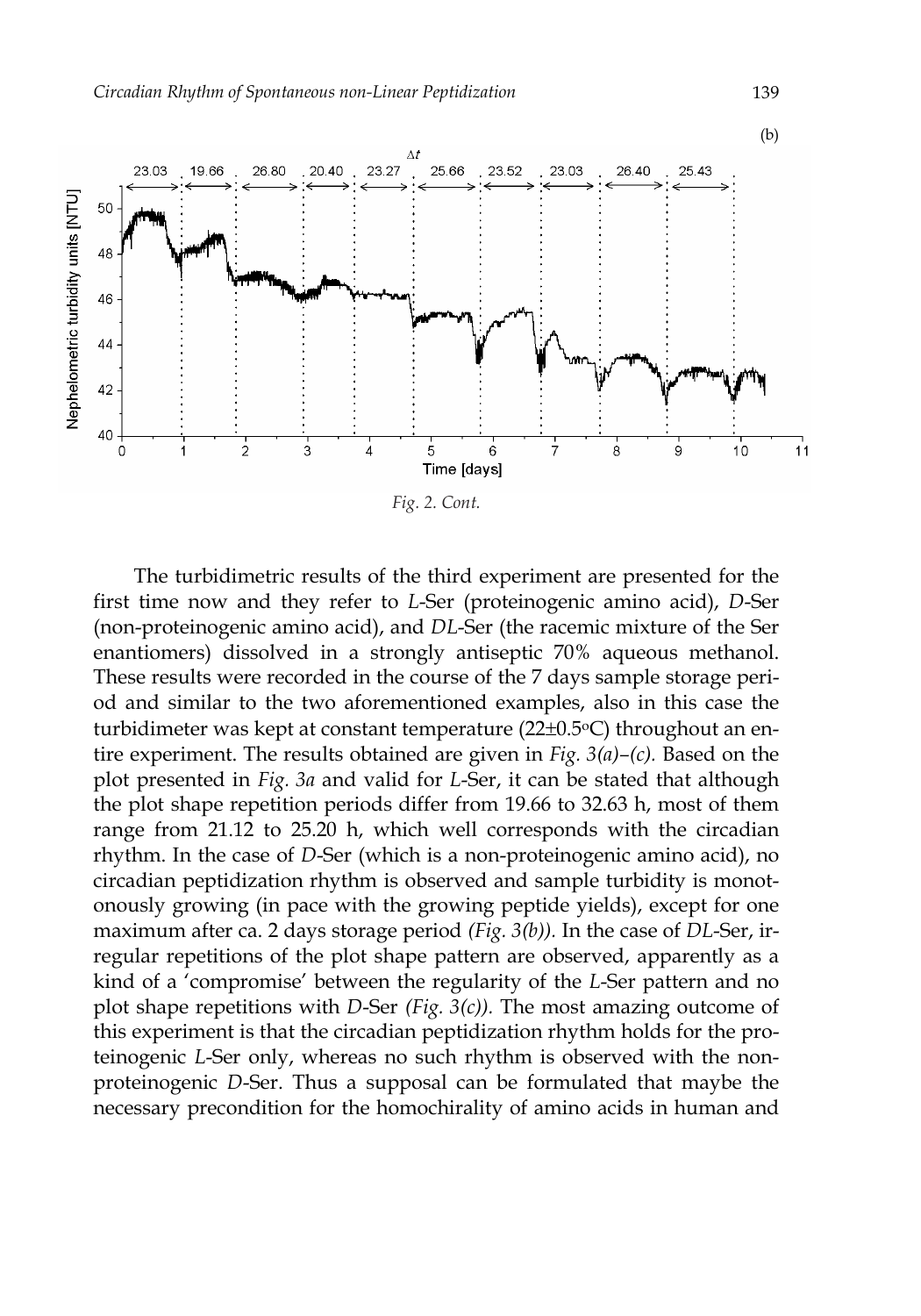

The turbidimetric results of the third experiment are presented for the first time now and they refer to *L*-Ser (proteinogenic amino acid), *D*-Ser (non-proteinogenic amino acid), and *DL*-Ser (the racemic mixture of the Ser enantiomers) dissolved in a strongly antiseptic 70% aqueous methanol. These results were recorded in the course of the 7 days sample storage period and similar to the two aforementioned examples, also in this case the turbidimeter was kept at constant temperature (22±0.5°C) throughout an entire experiment. The results obtained are given in *Fig. 3(a)–(c).* Based on the plot presented in *Fig. 3a* and valid for *L*-Ser, it can be stated that although the plot shape repetition periods differ from 19.66 to 32.63 h, most of them range from 21.12 to 25.20 h, which well corresponds with the circadian rhythm. In the case of *D*-Ser (which is a non-proteinogenic amino acid), no circadian peptidization rhythm is observed and sample turbidity is monotonously growing (in pace with the growing peptide yields), except for one maximum after ca. 2 days storage period *(Fig. 3(b)).* In the case of *DL*-Ser, irregular repetitions of the plot shape pattern are observed, apparently as a kind of a 'compromise' between the regularity of the *L*-Ser pattern and no plot shape repetitions with *D*-Ser *(Fig. 3(c)).* The most amazing outcome of this experiment is that the circadian peptidization rhythm holds for the proteinogenic *L*-Ser only, whereas no such rhythm is observed with the nonproteinogenic *D*-Ser. Thus a supposal can be formulated that maybe the necessary precondition for the homochirality of amino acids in human and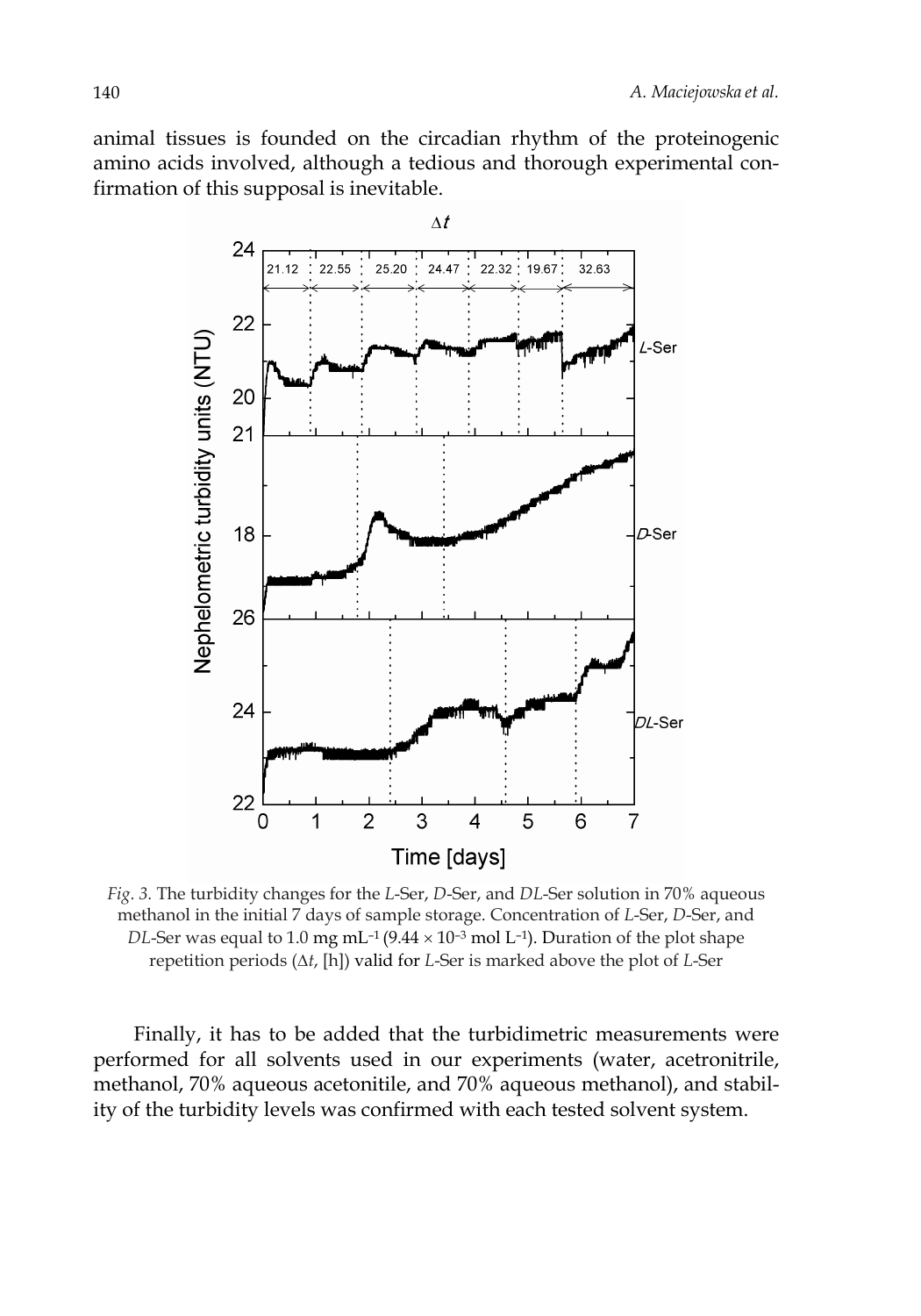animal tissues is founded on the circadian rhythm of the proteinogenic amino acids involved, although a tedious and thorough experimental confirmation of this supposal is inevitable.



*Fig. 3.* The turbidity changes for the *L*-Ser, *D*-Ser, and *DL*-Ser solution in 70% aqueous methanol in the initial 7 days of sample storage. Concentration of *L*-Ser, *D*-Ser, and *DL*-Ser was equal to 1.0 mg mL<sup>-1</sup> (9.44  $\times$  10<sup>-3</sup> mol L<sup>-1</sup>). Duration of the plot shape repetition periods (∆*t*, [h]) valid for *L*-Ser is marked above the plot of *L*-Ser

Finally, it has to be added that the turbidimetric measurements were performed for all solvents used in our experiments (water, acetronitrile, methanol, 70% aqueous acetonitile, and 70% aqueous methanol), and stability of the turbidity levels was confirmed with each tested solvent system.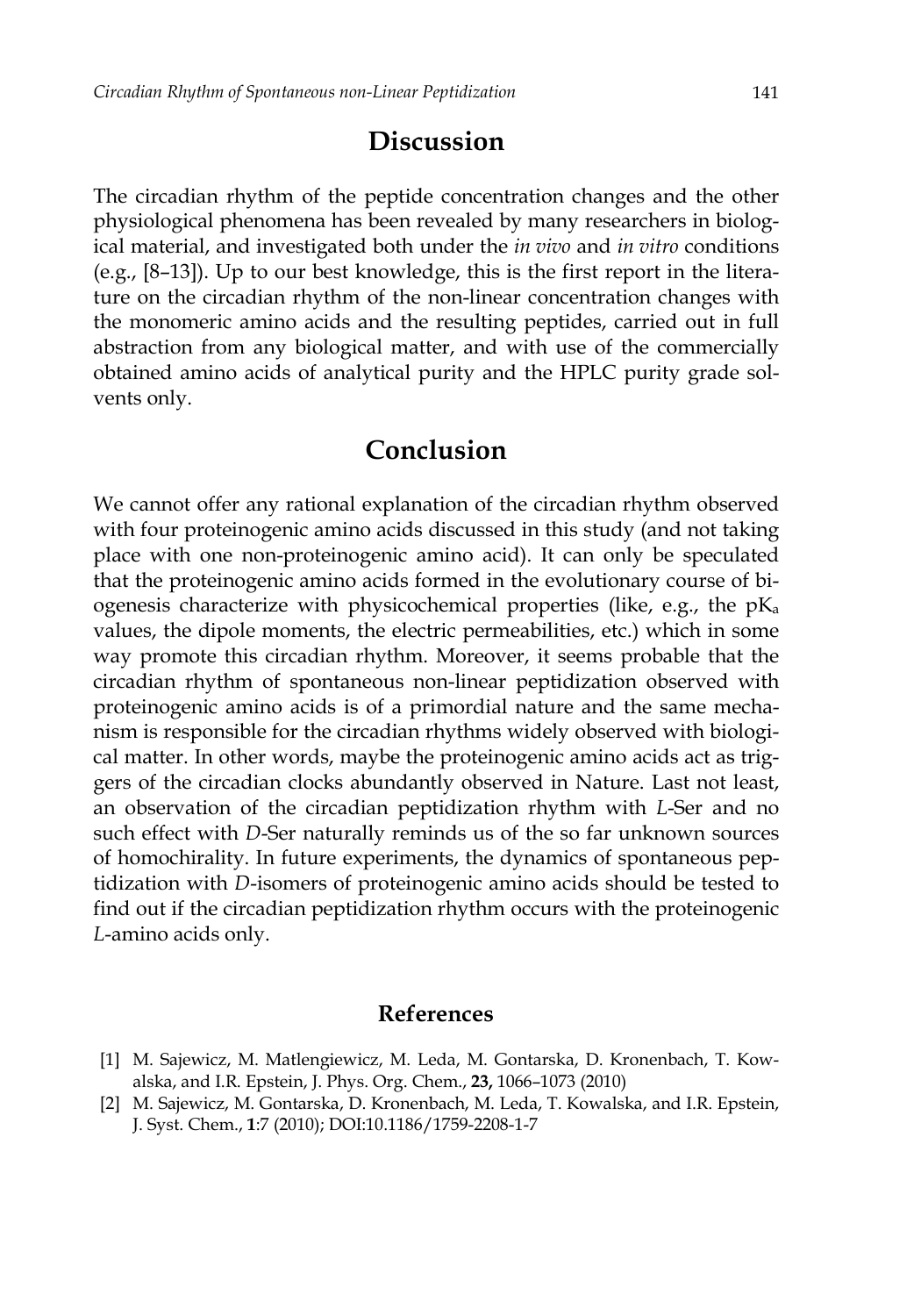#### **Discussion**

The circadian rhythm of the peptide concentration changes and the other physiological phenomena has been revealed by many researchers in biological material, and investigated both under the *in vivo* and *in vitro* conditions (e.g., [8–13]). Up to our best knowledge, this is the first report in the literature on the circadian rhythm of the non-linear concentration changes with the monomeric amino acids and the resulting peptides, carried out in full abstraction from any biological matter, and with use of the commercially obtained amino acids of analytical purity and the HPLC purity grade solvents only.

## **Conclusion**

We cannot offer any rational explanation of the circadian rhythm observed with four proteinogenic amino acids discussed in this study (and not taking place with one non-proteinogenic amino acid). It can only be speculated that the proteinogenic amino acids formed in the evolutionary course of biogenesis characterize with physicochemical properties (like, e.g., the  $pK_a$ values, the dipole moments, the electric permeabilities, etc.) which in some way promote this circadian rhythm. Moreover, it seems probable that the circadian rhythm of spontaneous non-linear peptidization observed with proteinogenic amino acids is of a primordial nature and the same mechanism is responsible for the circadian rhythms widely observed with biological matter. In other words, maybe the proteinogenic amino acids act as triggers of the circadian clocks abundantly observed in Nature. Last not least, an observation of the circadian peptidization rhythm with *L*-Ser and no such effect with *D*-Ser naturally reminds us of the so far unknown sources of homochirality. In future experiments, the dynamics of spontaneous peptidization with *D*-isomers of proteinogenic amino acids should be tested to find out if the circadian peptidization rhythm occurs with the proteinogenic *L*-amino acids only.

#### **References**

- [1] M. Sajewicz, M. Matlengiewicz, M. Leda, M. Gontarska, D. Kronenbach, T. Kowalska, and I.R. Epstein, J. Phys. Org. Chem., **23,** 1066–1073 (2010)
- [2] M. Sajewicz, M. Gontarska, D. Kronenbach, M. Leda, T. Kowalska, and I.R. Epstein, J. Syst. Chem., **1**:7 (2010); DOI:10.1186/1759-2208-1-7